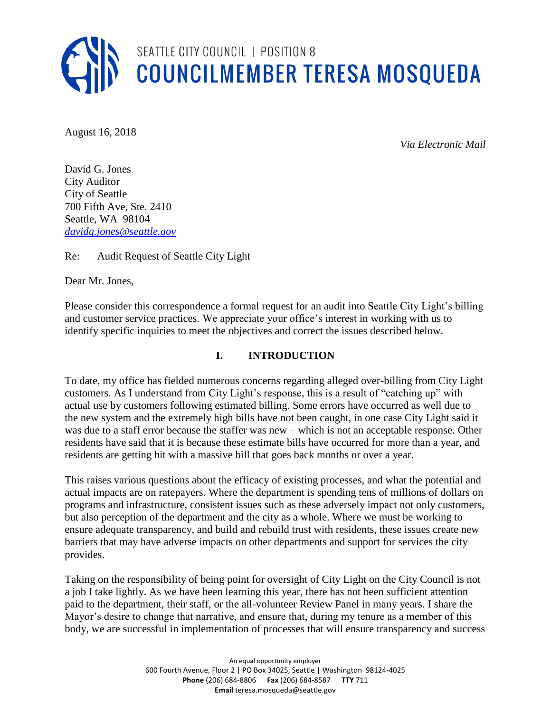

August 16, 2018

*Via Electronic Mail*

David G. Jones City Auditor City of Seattle 700 Fifth Ave, Ste. 2410 Seattle, WA 98104 *[davidg.jones@seattle.gov](mailto:davidg.jones@seattle.gov)*

Re: Audit Request of Seattle City Light

Dear Mr. Jones,

Please consider this correspondence a formal request for an audit into Seattle City Light's billing and customer service practices. We appreciate your office's interest in working with us to identify specific inquiries to meet the objectives and correct the issues described below.

## **I. INTRODUCTION**

To date, my office has fielded numerous concerns regarding alleged over-billing from City Light customers. As I understand from City Light's response, this is a result of "catching up" with actual use by customers following estimated billing. Some errors have occurred as well due to the new system and the extremely high bills have not been caught, in one case City Light said it was due to a staff error because the staffer was new – which is not an acceptable response. Other residents have said that it is because these estimate bills have occurred for more than a year, and residents are getting hit with a massive bill that goes back months or over a year.

This raises various questions about the efficacy of existing processes, and what the potential and actual impacts are on ratepayers. Where the department is spending tens of millions of dollars on programs and infrastructure, consistent issues such as these adversely impact not only customers, but also perception of the department and the city as a whole. Where we must be working to ensure adequate transparency, and build and rebuild trust with residents, these issues create new barriers that may have adverse impacts on other departments and support for services the city provides.

Taking on the responsibility of being point for oversight of City Light on the City Council is not a job I take lightly. As we have been learning this year, there has not been sufficient attention paid to the department, their staff, or the all-volunteer Review Panel in many years. I share the Mayor's desire to change that narrative, and ensure that, during my tenure as a member of this body, we are successful in implementation of processes that will ensure transparency and success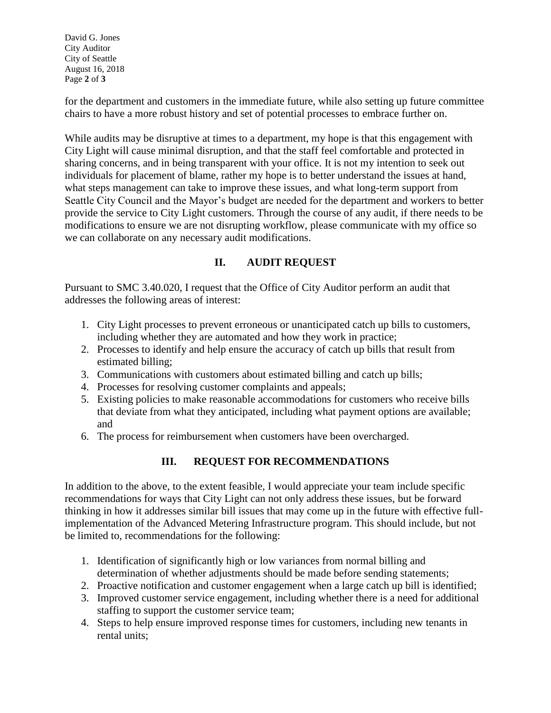David G. Jones City Auditor City of Seattle August 16, 2018 Page **2** of **3**

for the department and customers in the immediate future, while also setting up future committee chairs to have a more robust history and set of potential processes to embrace further on.

While audits may be disruptive at times to a department, my hope is that this engagement with City Light will cause minimal disruption, and that the staff feel comfortable and protected in sharing concerns, and in being transparent with your office. It is not my intention to seek out individuals for placement of blame, rather my hope is to better understand the issues at hand, what steps management can take to improve these issues, and what long-term support from Seattle City Council and the Mayor's budget are needed for the department and workers to better provide the service to City Light customers. Through the course of any audit, if there needs to be modifications to ensure we are not disrupting workflow, please communicate with my office so we can collaborate on any necessary audit modifications.

## **II. AUDIT REQUEST**

Pursuant to SMC 3.40.020, I request that the Office of City Auditor perform an audit that addresses the following areas of interest:

- 1. City Light processes to prevent erroneous or unanticipated catch up bills to customers, including whether they are automated and how they work in practice;
- 2. Processes to identify and help ensure the accuracy of catch up bills that result from estimated billing;
- 3. Communications with customers about estimated billing and catch up bills;
- 4. Processes for resolving customer complaints and appeals;
- 5. Existing policies to make reasonable accommodations for customers who receive bills that deviate from what they anticipated, including what payment options are available; and
- 6. The process for reimbursement when customers have been overcharged.

## **III. REQUEST FOR RECOMMENDATIONS**

In addition to the above, to the extent feasible, I would appreciate your team include specific recommendations for ways that City Light can not only address these issues, but be forward thinking in how it addresses similar bill issues that may come up in the future with effective fullimplementation of the Advanced Metering Infrastructure program. This should include, but not be limited to, recommendations for the following:

- 1. Identification of significantly high or low variances from normal billing and determination of whether adjustments should be made before sending statements;
- 2. Proactive notification and customer engagement when a large catch up bill is identified;
- 3. Improved customer service engagement, including whether there is a need for additional staffing to support the customer service team;
- 4. Steps to help ensure improved response times for customers, including new tenants in rental units;